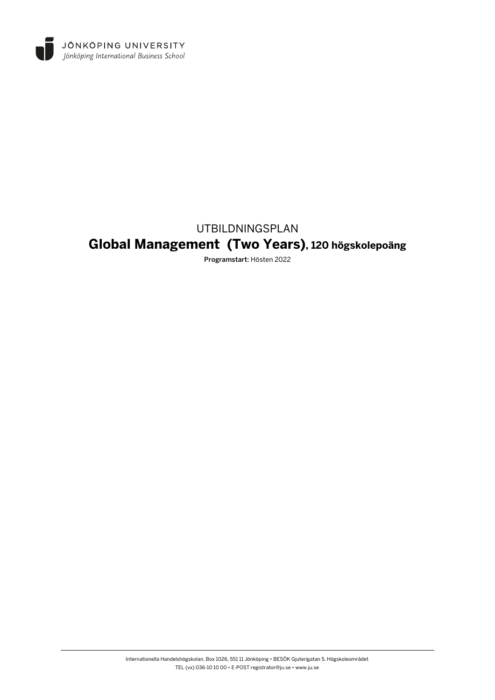

# UTBILDNINGSPLAN **Global Management (Two Years), 120 högskolepoäng**

Programstart: Hösten 2022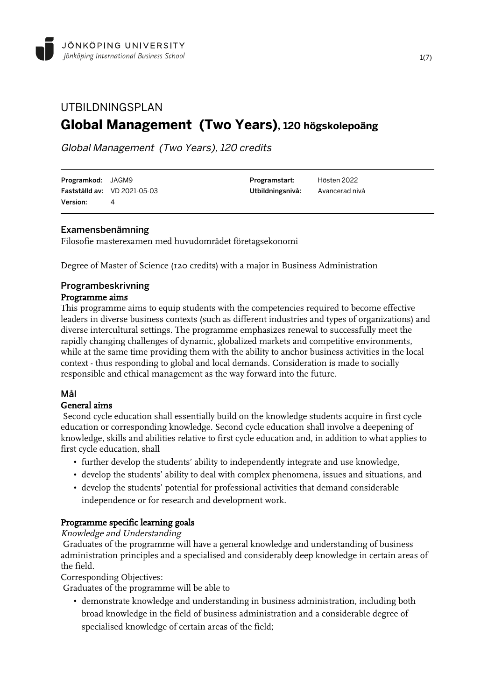## UTBILDNINGSPLAN **Global Management (Two Years), 120 högskolepoäng**

Global Management (Two Years), 120 credits

| <b>Programkod:</b> JAGM9 |                                     | Programstart:                   | Hösten 2022 |
|--------------------------|-------------------------------------|---------------------------------|-------------|
|                          | <b>Fastställd av:</b> VD 2021-05-03 | Utbildningsnivå: Avancerad nivå |             |
| <b>Version:</b>          | 4                                   |                                 |             |

## Examensbenämning

Filosofie masterexamen med huvudområdet företagsekonomi

Degree of Master of Science (120 credits) with a major in Business Administration

## Programbeskrivning

#### Programme aims

This programme aims to equip students with the competencies required to become effective leaders in diverse business contexts (such as different industries and types of organizations) and diverse intercultural settings. The programme emphasizes renewal to successfully meet the rapidly changing challenges of dynamic, globalized markets and competitive environments, while at the same time providing them with the ability to anchor business activities in the local context - thus responding to global and local demands. Consideration is made to socially responsible and ethical management as the way forward into the future.

## Mål

## General aims

 Second cycle education shall essentially build on the knowledge students acquire in first cycle education or corresponding knowledge. Second cycle education shall involve a deepening of knowledge, skills and abilities relative to first cycle education and, in addition to what applies to first cycle education, shall

- further develop the students' ability to independently integrate and use knowledge,
- develop the students' ability to deal with complex phenomena, issues and situations, and
- develop the students' potential for professional activities that demand considerable independence or for research and development work.

#### Programme specific learning goals

#### Knowledge and Understanding

 Graduates of the programme will have a general knowledge and understanding of business administration principles and a specialised and considerably deep knowledge in certain areas of the field.

Corresponding Objectives:

Graduates of the programme will be able to

• demonstrate knowledge and understanding in business administration, including both broad knowledge in the field of business administration and a considerable degree of specialised knowledge of certain areas of the field;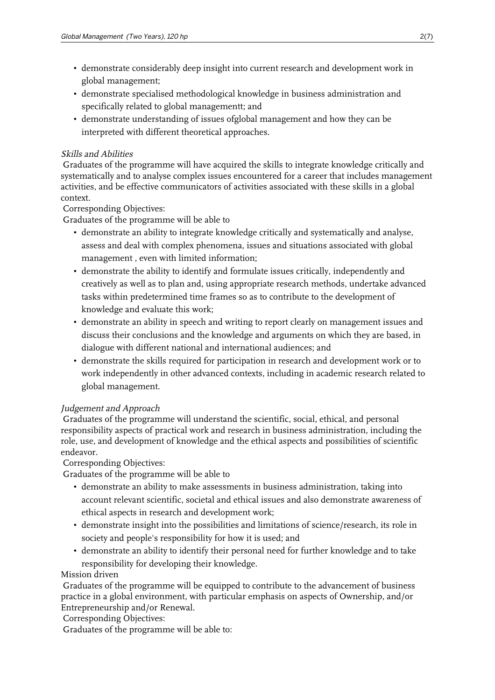- demonstrate considerably deep insight into current research and development work in global management;
- demonstrate specialised methodological knowledge in business administration and specifically related to global managementt; and
- demonstrate understanding of issues ofglobal management and how they can be interpreted with different theoretical approaches.

## Skills and Abilities

 Graduates of the programme will have acquired the skills to integrate knowledge critically and systematically and to analyse complex issues encountered for a career that includes management activities, and be effective communicators of activities associated with these skills in a global context.

Corresponding Objectives:

Graduates of the programme will be able to

- demonstrate an ability to integrate knowledge critically and systematically and analyse, assess and deal with complex phenomena, issues and situations associated with global management , even with limited information;
- demonstrate the ability to identify and formulate issues critically, independently and creatively as well as to plan and, using appropriate research methods, undertake advanced tasks within predetermined time frames so as to contribute to the development of knowledge and evaluate this work;
- demonstrate an ability in speech and writing to report clearly on management issues and discuss their conclusions and the knowledge and arguments on which they are based, in dialogue with different national and international audiences; and
- demonstrate the skills required for participation in research and development work or to work independently in other advanced contexts, including in academic research related to global management.

#### Judgement and Approach

 Graduates of the programme will understand the scientific, social, ethical, and personal responsibility aspects of practical work and research in business administration, including the role, use, and development of knowledge and the ethical aspects and possibilities of scientific endeavor.

Corresponding Objectives:

Graduates of the programme will be able to

- demonstrate an ability to make assessments in business administration, taking into account relevant scientific, societal and ethical issues and also demonstrate awareness of ethical aspects in research and development work;
- demonstrate insight into the possibilities and limitations of science/research, its role in society and people's responsibility for how it is used; and
- demonstrate an ability to identify their personal need for further knowledge and to take responsibility for developing their knowledge.

#### Mission driven

 Graduates of the programme will be equipped to contribute to the advancement of business practice in a global environment, with particular emphasis on aspects of Ownership, and/or Entrepreneurship and/or Renewal.

Corresponding Objectives:

Graduates of the programme will be able to: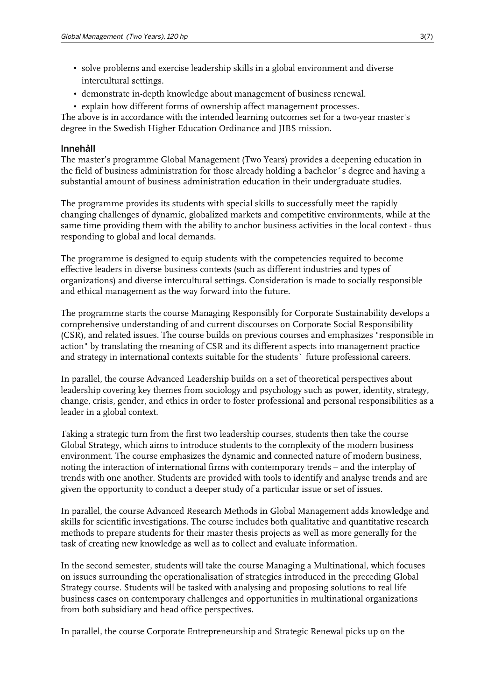- solve problems and exercise leadership skills in a global environment and diverse intercultural settings.
- demonstrate in-depth knowledge about management of business renewal.
- explain how different forms of ownership affect management processes.

The above is in accordance with the intended learning outcomes set for a two-year master's degree in the Swedish Higher Education Ordinance and JIBS mission.

#### Innehåll

The master's programme Global Management (Two Years) provides a deepening education in the field of business administration for those already holding a bachelor´s degree and having a substantial amount of business administration education in their undergraduate studies.

The programme provides its students with special skills to successfully meet the rapidly changing challenges of dynamic, globalized markets and competitive environments, while at the same time providing them with the ability to anchor business activities in the local context - thus responding to global and local demands.

The programme is designed to equip students with the competencies required to become effective leaders in diverse business contexts (such as different industries and types of organizations) and diverse intercultural settings. Consideration is made to socially responsible and ethical management as the way forward into the future.

The programme starts the course Managing Responsibly for Corporate Sustainability develops a comprehensive understanding of and current discourses on Corporate Social Responsibility (CSR), and related issues. The course builds on previous courses and emphasizes "responsible in action" by translating the meaning of CSR and its different aspects into management practice and strategy in international contexts suitable for the students` future professional careers.

In parallel, the course Advanced Leadership builds on a set of theoretical perspectives about leadership covering key themes from sociology and psychology such as power, identity, strategy, change, crisis, gender, and ethics in order to foster professional and personal responsibilities as a leader in a global context.

Taking a strategic turn from the first two leadership courses, students then take the course Global Strategy, which aims to introduce students to the complexity of the modern business environment. The course emphasizes the dynamic and connected nature of modern business, noting the interaction of international firms with contemporary trends – and the interplay of trends with one another. Students are provided with tools to identify and analyse trends and are given the opportunity to conduct a deeper study of a particular issue or set of issues.

In parallel, the course Advanced Research Methods in Global Management adds knowledge and skills for scientific investigations. The course includes both qualitative and quantitative research methods to prepare students for their master thesis projects as well as more generally for the task of creating new knowledge as well as to collect and evaluate information.

In the second semester, students will take the course Managing a Multinational, which focuses on issues surrounding the operationalisation of strategies introduced in the preceding Global Strategy course. Students will be tasked with analysing and proposing solutions to real life business cases on contemporary challenges and opportunities in multinational organizations from both subsidiary and head office perspectives.

In parallel, the course Corporate Entrepreneurship and Strategic Renewal picks up on the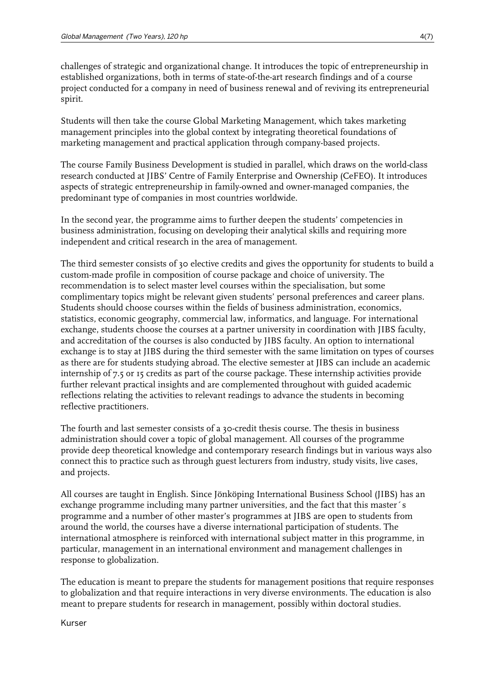challenges of strategic and organizational change. It introduces the topic of entrepreneurship in established organizations, both in terms of state-of-the-art research findings and of a course project conducted for a company in need of business renewal and of reviving its entrepreneurial spirit.

Students will then take the course Global Marketing Management, which takes marketing management principles into the global context by integrating theoretical foundations of marketing management and practical application through company-based projects.

The course Family Business Development is studied in parallel, which draws on the world-class research conducted at JIBS' Centre of Family Enterprise and Ownership (CeFEO). It introduces aspects of strategic entrepreneurship in family-owned and owner-managed companies, the predominant type of companies in most countries worldwide.

In the second year, the programme aims to further deepen the students' competencies in business administration, focusing on developing their analytical skills and requiring more independent and critical research in the area of management.

The third semester consists of 30 elective credits and gives the opportunity for students to build a custom-made profile in composition of course package and choice of university. The recommendation is to select master level courses within the specialisation, but some complimentary topics might be relevant given students' personal preferences and career plans. Students should choose courses within the fields of business administration, economics, statistics, economic geography, commercial law, informatics, and language. For international exchange, students choose the courses at a partner university in coordination with JIBS faculty, and accreditation of the courses is also conducted by JIBS faculty. An option to international exchange is to stay at JIBS during the third semester with the same limitation on types of courses as there are for students studying abroad. The elective semester at JIBS can include an academic internship of 7.5 or 15 credits as part of the course package. These internship activities provide further relevant practical insights and are complemented throughout with guided academic reflections relating the activities to relevant readings to advance the students in becoming reflective practitioners.

The fourth and last semester consists of a 30-credit thesis course. The thesis in business administration should cover a topic of global management. All courses of the programme provide deep theoretical knowledge and contemporary research findings but in various ways also connect this to practice such as through guest lecturers from industry, study visits, live cases, and projects.

All courses are taught in English. Since Jönköping International Business School (JIBS) has an exchange programme including many partner universities, and the fact that this master´s programme and a number of other master's programmes at JIBS are open to students from around the world, the courses have a diverse international participation of students. The international atmosphere is reinforced with international subject matter in this programme, in particular, management in an international environment and management challenges in response to globalization.

The education is meant to prepare the students for management positions that require responses to globalization and that require interactions in very diverse environments. The education is also meant to prepare students for research in management, possibly within doctoral studies.

Kurser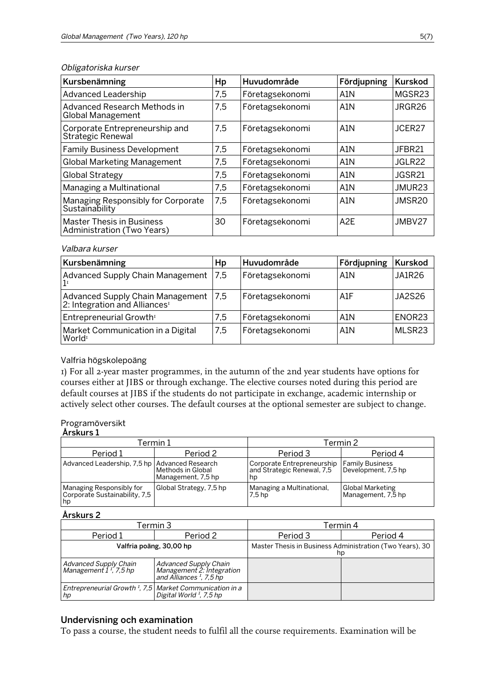| Obligatoriska kurser |  |  |  |  |
|----------------------|--|--|--|--|
|----------------------|--|--|--|--|

| Kursbenämning                                                  | Hp  | Huvudområde     | Fördjupning      | <b>Kurskod</b>     |
|----------------------------------------------------------------|-----|-----------------|------------------|--------------------|
| <b>Advanced Leadership</b>                                     | 7,5 | Företagsekonomi | A1N              | MGSR23             |
| Advanced Research Methods in<br><b>Global Management</b>       | 7,5 | Företagsekonomi | A <sub>1</sub> N | JRGR26             |
| Corporate Entrepreneurship and<br>Strategic Renewal            | 7,5 | Företagsekonomi | A <sub>1</sub> N | JCER27             |
| <b>Family Business Development</b>                             | 7.5 | Företagsekonomi | A1N              | JFBR21             |
| <b>Global Marketing Management</b>                             | 7,5 | Företagsekonomi | A <sub>1</sub> N | JGLR22             |
| Global Strategy                                                | 7,5 | Företagsekonomi | A <sub>1</sub> N | JGSR21             |
| Managing a Multinational                                       | 7,5 | Företagsekonomi | A <sub>1</sub> N | JMUR23             |
| Managing Responsibly for Corporate<br>Sustainability           | 7,5 | Företagsekonomi | A <sub>1</sub> N | JMSR <sub>20</sub> |
| <b>Master Thesis in Business</b><br>Administration (Two Years) | 30  | Företagsekonomi | A2E              | JMBV27             |

#### Valbara kurser

| Kursbenämning                                                                 | Hp  | Huvudområde     | Fördjupning | Kurskod            |
|-------------------------------------------------------------------------------|-----|-----------------|-------------|--------------------|
| Advanced Supply Chain Management                                              | 7,5 | Företagsekonomi | A1N         | <b>JA1R26</b>      |
| Advanced Supply Chain Management<br>2: Integration and Alliances <sup>1</sup> | 7,5 | Företagsekonomi | A1F         | <b>JA2S26</b>      |
| Entrepreneurial Growth <sup>1</sup>                                           | 7,5 | Företagsekonomi | A1N         | ENOR <sub>23</sub> |
| Market Communication in a Digital<br>World <sup>I</sup>                       | 7,5 | Företagsekonomi | A1N         | MLSR23             |

#### Valfria högskolepoäng

1) For all 2-year master programmes, in the autumn of the 2nd year students have options for courses either at JIBS or through exchange. The elective courses noted during this period are default courses at JIBS if the students do not participate in exchange, academic internship or actively select other courses. The default courses at the optional semester are subject to change.

## Programöversikt

| ™SKUI |
|-------|
|-------|

|                                                                 | Termin 1                                | Termin 2                                                       |                                               |  |
|-----------------------------------------------------------------|-----------------------------------------|----------------------------------------------------------------|-----------------------------------------------|--|
| Period 1                                                        | Period 2                                | Period 3                                                       | Period 4                                      |  |
| Advanced Leadership, 7,5 hp   Advanced Research                 | Methods in Global<br>Management, 7,5 hp | Corporate Entrepreneurship<br>and Strategic Renewal, 7,5<br>hp | <b>Family Business</b><br>Development, 7,5 hp |  |
| Managing Responsibly for<br>Corporate Sustainability, 7,5<br>hp | Global Strategy, 7,5 hp                 | Managing a Multinational,<br>7.5 <sub>hp</sub>                 | <b>Global Marketing</b><br>Management, 7,5 hp |  |

#### Årskurs 2

|                                                                           | Termin 3                                                                                               | Termin 4                                                       |          |  |
|---------------------------------------------------------------------------|--------------------------------------------------------------------------------------------------------|----------------------------------------------------------------|----------|--|
| Period 2<br>Period 1                                                      |                                                                                                        | Period 3                                                       | Period 4 |  |
|                                                                           | Valfria poäng, 30,00 hp                                                                                | Master Thesis in Business Administration (Two Years), 30<br>hp |          |  |
| Advanced Supply Chain<br>Management 1 <sup>T</sup> , 7,5 hp               | Advanced Supply Chain<br>Management 2: Integration<br>and Alliances <sup><math>I</math></sup> , 7,5 hp |                                                                |          |  |
| Entrepreneurial Growth <sup>1</sup> , 7,5 Market Communication in a<br>hp | Digital World <sup>I</sup> , 7,5 hp                                                                    |                                                                |          |  |

#### Undervisning och examination

To pass a course, the student needs to fulfil all the course requirements. Examination will be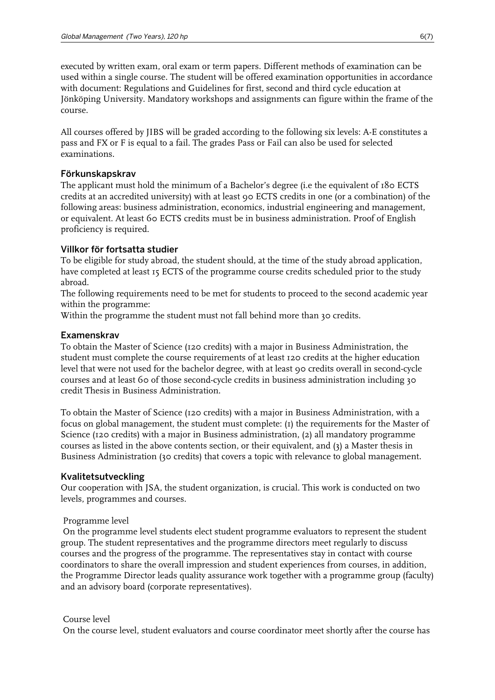executed by written exam, oral exam or term papers. Different methods of examination can be used within a single course. The student will be offered examination opportunities in accordance with document: Regulations and Guidelines for first, second and third cycle education at Jönköping University. Mandatory workshops and assignments can figure within the frame of the course.

All courses offered by JIBS will be graded according to the following six levels: A-E constitutes a pass and FX or F is equal to a fail. The grades Pass or Fail can also be used for selected examinations.

#### Förkunskapskrav

The applicant must hold the minimum of a Bachelor's degree (i.e the equivalent of 180 ECTS credits at an accredited university) with at least 90 ECTS credits in one (or a combination) of the following areas: business administration, economics, industrial engineering and management, or equivalent. At least 60 ECTS credits must be in business administration. Proof of English proficiency is required.

#### Villkor för fortsatta studier

To be eligible for study abroad, the student should, at the time of the study abroad application, have completed at least 15 ECTS of the programme course credits scheduled prior to the study abroad.

The following requirements need to be met for students to proceed to the second academic year within the programme:

Within the programme the student must not fall behind more than 30 credits.

#### Examenskrav

To obtain the Master of Science (120 credits) with a major in Business Administration, the student must complete the course requirements of at least 120 credits at the higher education level that were not used for the bachelor degree, with at least 90 credits overall in second-cycle courses and at least 60 of those second-cycle credits in business administration including 30 credit Thesis in Business Administration.

To obtain the Master of Science (120 credits) with a major in Business Administration, with a focus on global management, the student must complete: (1) the requirements for the Master of Science (120 credits) with a major in Business administration, (2) all mandatory programme courses as listed in the above contents section, or their equivalent, and (3) a Master thesis in Business Administration (30 credits) that covers a topic with relevance to global management.

#### Kvalitetsutveckling

Our cooperation with JSA, the student organization, is crucial. This work is conducted on two levels, programmes and courses.

#### Programme level

 On the programme level students elect student programme evaluators to represent the student group. The student representatives and the programme directors meet regularly to discuss courses and the progress of the programme. The representatives stay in contact with course coordinators to share the overall impression and student experiences from courses, in addition, the Programme Director leads quality assurance work together with a programme group (faculty) and an advisory board (corporate representatives).

#### Course level

On the course level, student evaluators and course coordinator meet shortly after the course has